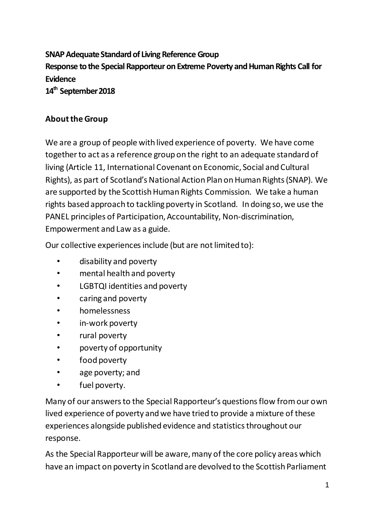**SNAP Adequate Standard of Living Reference Group Response to the Special Rapporteur on Extreme Poverty and Human Rights Call for Evidence 14 th September 2018**

#### **About the Group**

We are a group of people with lived experience of poverty. We have come together to act as a reference group on the right to an adequate standard of living (Article 11, International Covenant on Economic, Social and Cultural Rights), as part of Scotland's National Action Plan on Human Rights (SNAP). We are supported by the Scottish Human Rights Commission. We take a human rights based approach to tackling poverty in Scotland. In doing so, we use the PANEL principles of Participation, Accountability, Non-discrimination, Empowerment and Law as a guide.

Our collective experiences include (but are not limited to):

- disability and poverty
- mental health and poverty
- LGBTQI identities and poverty
- caring and poverty
- homelessness
- in-work poverty
- rural poverty
- poverty of opportunity
- food poverty
- age poverty; and
- fuel poverty.

Many of our answers to the Special Rapporteur's questions flow from our own lived experience of poverty and we have tried to provide a mixture of these experiences alongside published evidence and statistics throughout our response.

As the Special Rapporteur will be aware, many of the core policy areas which have an impact on poverty in Scotland are devolved to the Scottish Parliament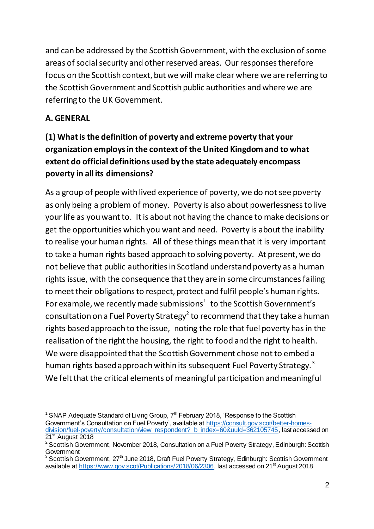and can be addressed by the Scottish Government, with the exclusion of some areas of social security and other reserved areas. Our responses therefore focus on the Scottish context, but we will make clear where we are referring to the Scottish Government and Scottish public authorities and where we are referring to the UK Government.

#### **A. GENERAL**

l

# **(1) What is the definition of poverty and extreme poverty that your organization employs in the context of the United Kingdom and to what extent do official definitions used by the state adequately encompass poverty in all its dimensions?**

As a group of people with lived experience of poverty, we do not see poverty as only being a problem of money. Poverty is also about powerlessness to live your life as you want to. It is about not having the chance to make decisions or get the opportunities which you want and need. Poverty is about the inability to realise your human rights. All of these things mean that it is very important to take a human rights based approach to solving poverty. At present, we do not believe that public authorities in Scotland understand poverty as a human rights issue, with the consequence that they are in some circumstances failing to meet their obligations to respect, protect and fulfil people's human rights. For example, we recently made submissions<sup>1</sup> to the Scottish Government's consultation on a Fuel Poverty Strategy<sup>2</sup> to recommend that they take a human rights based approach to the issue, noting the role that fuel poverty has in the realisation of the right the housing, the right to food and the right to health. We were disappointed that the Scottish Government chose not to embed a human rights based approach within its subsequent Fuel Poverty Strategy.<sup>3</sup> We felt that the critical elements of meaningful participation and meaningful

<sup>&</sup>lt;sup>1</sup> SNAP Adequate Standard of Living Group,  $7<sup>th</sup>$  February 2018, 'Response to the Scottish Government's Consultation on Fuel Poverty', available a[t https://consult.gov.scot/better-homes](https://consult.gov.scot/better-homes-division/fuel-poverty/consultation/view_respondent?_b_index=60&uuId=362105745)[division/fuel-poverty/consultation/view\\_respondent?\\_b\\_index=60&uuId=362105745](https://consult.gov.scot/better-homes-division/fuel-poverty/consultation/view_respondent?_b_index=60&uuId=362105745), last accessed on 21<sup>st</sup> August 2018

<sup>2</sup> Scottish Government, November 2018, Consultation on a Fuel Poverty Strategy, Edinburgh: Scottish Government

Scottish Government, 27<sup>th</sup> June 2018, Draft Fuel Poverty Strategy, Edinburgh: Scottish Government available at<https://www.gov.scot/Publications/2018/06/2306>, last accessed on 21<sup>st</sup> August 2018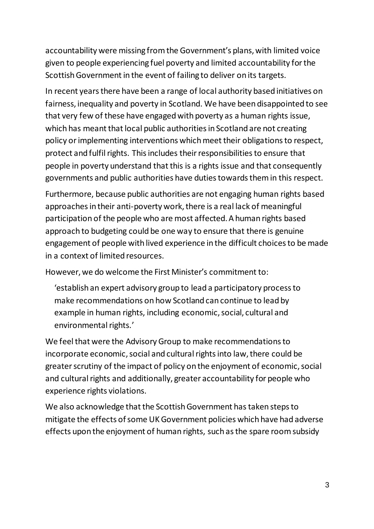accountability were missing from the Government's plans, with limited voice given to people experiencing fuel poverty and limited accountability for the Scottish Government in the event of failing to deliver on its targets.

In recent years there have been a range of local authority based initiatives on fairness, inequality and poverty in Scotland. We have been disappointed to see that very few of these have engaged with poverty as a human rights issue, which has meant that local public authorities in Scotland are not creating policy or implementing interventions which meet their obligations to respect, protect and fulfil rights. This includes their responsibilities to ensure that people in poverty understand that this is a rights issue and that consequently governments and public authorities have duties towards them in this respect.

Furthermore, because public authorities are not engaging human rights based approaches in their anti-poverty work, there is a real lack of meaningful participation of the people who are most affected. A human rights based approach to budgeting could be one way to ensure that there is genuine engagement of people with lived experience in the difficult choices to be made in a context of limited resources.

However, we do welcome the First Minister's commitment to:

'establish an expert advisory group to lead a participatory process to make recommendations on how Scotland can continue to lead by example in human rights, including economic, social, cultural and environmental rights.'

We feel that were the Advisory Group to make recommendations to incorporate economic, social and cultural rights into law, there could be greater scrutiny of the impact of policy on the enjoyment of economic, social and cultural rights and additionally, greater accountability for people who experience rights violations.

We also acknowledge that the Scottish Government has taken steps to mitigate the effects of some UK Government policies which have had adverse effects upon the enjoyment of human rights, such as the spare room subsidy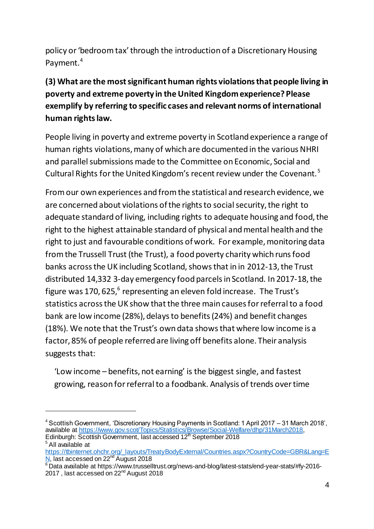policy or 'bedroom tax' through the introduction of a Discretionary Housing Payment.<sup>4</sup>

# **(3) What are the most significant human rights violations that people living in poverty and extreme poverty in the United Kingdom experience? Please exemplify by referring to specific cases and relevant norms of international human rights law.**

People living in poverty and extreme poverty in Scotland experience a range of human rights violations, many of which are documented in the various NHRI and parallel submissions made to the Committee on Economic, Social and Cultural Rights for the United Kingdom's recent review under the Covenant.<sup>5</sup>

From our own experiences and from the statistical and research evidence, we are concerned about violations of the rights to social security, the right to adequate standard of living, including rights to adequate housing and food, the right to the highest attainable standard of physical and mental health and the right to just and favourable conditions of work. For example, monitoring data from the Trussell Trust (the Trust), a food poverty charity which runs food banks across the UK including Scotland, shows that in in 2012-13, the Trust distributed 14,332 3-day emergency food parcels in Scotland. In 2017-18, the figure was 170, 625, $^6$  representing an eleven fold increase. The Trust's statistics across the UK show that the three main causes for referral to a food bank are low income (28%), delays to benefits (24%) and benefit changes (18%). We note that the Trust's own data shows that where low income is a factor, 85% of people referred are living off benefits alone. Their analysis suggests that:

'Low income – benefits, not earning' is the biggest single, and fastest growing, reason for referral to a foodbank. Analysis of trends over time

l

<sup>4</sup> Scottish Government, 'Discretionary Housing Payments in Scotland: 1 April 2017 – 31 March 2018', available at<https://www.gov.scot/Topics/Statistics/Browse/Social-Welfare/dhp/31March2018>, Edinburgh: Scottish Government, last accessed 12<sup>th</sup> September 2018 <sup>5</sup> All available at

[https://tbinternet.ohchr.org/\\_layouts/TreatyBodyExternal/Countries.aspx?CountryCode=GBR&Lang=E](https://tbinternet.ohchr.org/_layouts/TreatyBodyExternal/Countries.aspx?CountryCode=GBR&Lang=EN) [N,](https://tbinternet.ohchr.org/_layouts/TreatyBodyExternal/Countries.aspx?CountryCode=GBR&Lang=EN) last accessed on 22<sup>nd</sup> August 2018

 $^6$ Data available at https://www.trusselltrust.org/news-and-blog/latest-stats/end-year-stats/#fy-2016-2017 , last accessed on 22<sup>nd</sup> August 2018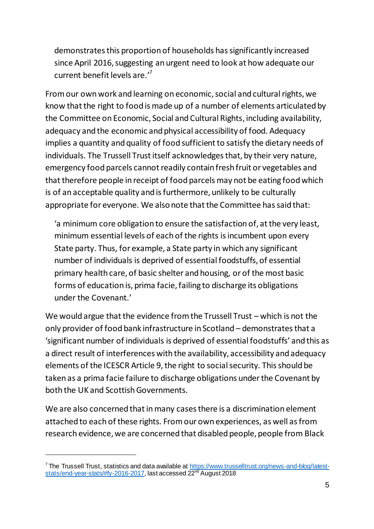demonstrates this proportion of households has significantly increased since April 2016, suggesting an urgent need to look at how adequate our current benefit levels are.'<sup>7</sup>

From our own work and learning on economic, social and cultural rights, we know that the right to food is made up of a number of elements articulated by the Committee on Economic, Social and Cultural Rights, including availability, adequacy and the economic and physical accessibility of food. Adequacy implies a quantity and quality of food sufficient to satisfy the dietary needs of individuals. The Trussell Trust itself acknowledges that, by their very nature, emergency food parcels cannot readily contain fresh fruit or vegetables and that therefore people in receipt of food parcels may not be eating food which is of an acceptable quality and is furthermore, unlikely to be culturally appropriate for everyone. We also note that the Committee has said that:

'a minimum core obligation to ensure the satisfaction of, at the very least, minimum essential levels of each of the rights is incumbent upon every State party. Thus, for example, a State party in which any significant number of individuals is deprived of essential foodstuffs, of essential primary health care, of basic shelter and housing, or of the most basic forms of education is, prima facie, failing to discharge its obligations under the Covenant.'

We would argue that the evidence from the Trussell Trust – which is not the only provider of food bank infrastructure in Scotland – demonstrates that a 'significant number of individuals is deprived of essential foodstuffs' and this as a direct result of interferences with the availability, accessibility and adequacy elements of the ICESCR Article 9,the right to social security. This should be taken as a prima facie failure to discharge obligations under the Covenant by both the UK and Scottish Governments.

We are also concerned that in many cases there is a discrimination element attached to each of these rights. From our own experiences, as well as from research evidence, we are concerned that disabled people, people from Black

 $\overline{a}$ 

<sup>&</sup>lt;sup>7</sup> The Trussell Trust, statistics and data available a[t https://www.trusselltrust.org/news-and-blog/latest](https://www.trusselltrust.org/news-and-blog/latest-stats/end-year-stats/#fy-2016-2017)[stats/end-year-stats/#fy-2016-2017](https://www.trusselltrust.org/news-and-blog/latest-stats/end-year-stats/#fy-2016-2017), last accessed 22<sup>nd</sup> August 2018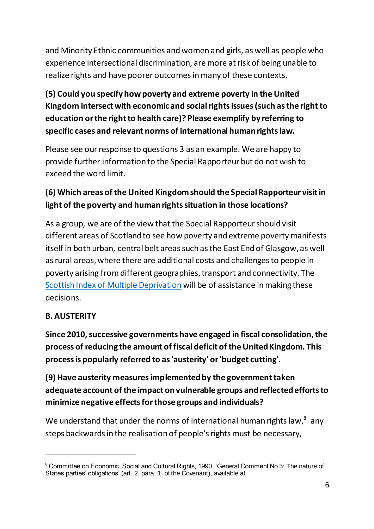and Minority Ethnic communities and women and girls, as well as people who experience intersectional discrimination, are more at risk of being unable to realize rights and have poorer outcomes in many of these contexts.

# **(5) Could you specify how poverty and extreme poverty in the United Kingdom intersect with economic and social rights issues (such as the right to education or the right to health care)? Please exemplify by referring to specific cases and relevant norms of international human rights law.**

Please see our response to questions 3 as an example. We are happy to provide further information to the Special Rapporteur but do not wish to exceed the word limit.

## **(6) Which areas of the United Kingdom should the Special Rapporteur visit in light of the poverty and human rights situation in those locations?**

As a group, we are of the view that the Special Rapporteur should visit different areas of Scotland to see how poverty and extreme poverty manifests itself in both urban, central belt areas such as the East End of Glasgow, as well as rural areas, where there are additional costs and challenges to people in poverty arising fromdifferent geographies, transport and connectivity. The [Scottish Index of Multiple Deprivation](https://www.gov.scot/Topics/Statistics/SIMD) will be of assistance in making these decisions.

#### **B. AUSTERITY**

 $\overline{a}$ 

**Since 2010, successive governments have engaged in fiscal consolidation, the process of reducing the amount of fiscal deficit of the United Kingdom. This process is popularly referred to as 'austerity' or 'budget cutting'.** 

**(9) Have austerity measures implemented by the government taken adequate account of the impact on vulnerable groups and reflected efforts to minimize negative effects for those groups and individuals?**

We understand that under the norms of international human rights law, $^8$  any steps backwards in the realisation of people's rights must be necessary,

<sup>&</sup>lt;sup>8</sup> Committee on Economic, Social and Cultural Rights, 1990, 'General Comment No 3: The nature of States parties' obligations' (art. 2, para. 1, of the Covenant), available at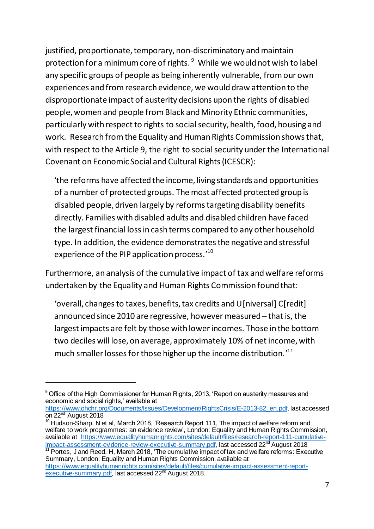justified, proportionate, temporary, non-discriminatory and maintain protection for a minimum core of rights. <sup>9</sup> While we would not wish to label any specific groups of people as being inherently vulnerable, from our own experiences and from research evidence, we would draw attention to the disproportionate impact of austerity decisions upon the rights of disabled people, women and people from Black and Minority Ethnic communities, particularly with respect to rights to social security, health, food, housing and work. Research from the Equality and Human Rights Commission shows that, with respect to the Article 9, the right to social security under the International Covenant on Economic Social and Cultural Rights (ICESCR):

'the reforms have affected the income, living standards and opportunities of a number of protected groups. The most affected protected group is disabled people, driven largely by reforms targeting disability benefits directly. Families with disabled adults and disabled children have faced the largest financial loss in cash terms compared to any other household type. In addition, the evidence demonstrates the negative and stressful experience of the PIP application process.'<sup>10</sup>

Furthermore, an analysis of the cumulative impact of tax and welfare reforms undertaken by the Equality and Human Rights Commission found that:

'overall, changes to taxes, benefits, tax credits and U[niversal] C[redit] announced since 2010 are regressive, however measured – that is, the largest impacts are felt by those with lower incomes. Those in the bottom two deciles will lose, on average, approximately 10% of net income, with much smaller losses for those higher up the income distribution.<sup>11</sup>

 $\overline{a}$ 

[https://www.ohchr.org/Documents/Issues/Development/RightsCrisis/E-2013-82\\_en.pdf](https://www.ohchr.org/Documents/Issues/Development/RightsCrisis/E-2013-82_en.pdf), last accessed on 22<sup>nd</sup> August 2018

<sup>&</sup>lt;sup>9</sup> Office of the High Commissioner for Human Rights, 2013, 'Report on austerity measures and economic and social rights,' available at

<sup>&</sup>lt;sup>10</sup> Hudson-Sharp, N et al, March 2018, 'Research Report 111, The impact of welfare reform and welfare to work programmes: an evidence review', London: Equality and Human Rights Commission, available at [https://www.equalityhumanrights.com/sites/default/files/research-report-111-cumulative](https://www.equalityhumanrights.com/sites/default/files/research-report-111-cumulative-impact-assessment-evidence-review-executive-summary.pdf)[impact-assessment-evidence-review-executive-summary.pdf,](https://www.equalityhumanrights.com/sites/default/files/research-report-111-cumulative-impact-assessment-evidence-review-executive-summary.pdf) last accessed 22<sup>nd</sup> August 2018

<sup>&</sup>lt;sup>11</sup> Portes, J and Reed, H, March 2018, 'The cumulative impact of tax and welfare reforms: Executive Summary, London: Equality and Human Rights Commission, available at

[https://www.equalityhumanrights.com/sites/default/files/cumulative-impact-assessment-report](https://www.equalityhumanrights.com/sites/default/files/cumulative-impact-assessment-report-executive-summary.pdf)[executive-summary.pdf,](https://www.equalityhumanrights.com/sites/default/files/cumulative-impact-assessment-report-executive-summary.pdf) last accessed 22<sup>nd</sup> August 2018.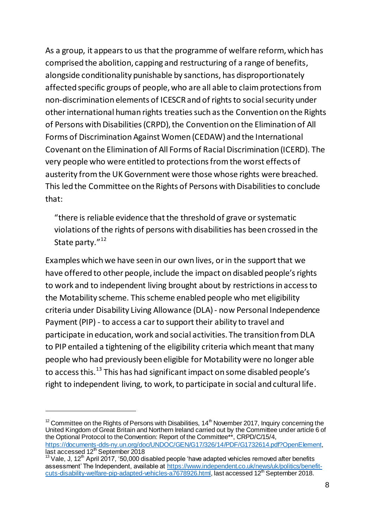As a group, it appears to us that the programme of welfare reform, which has comprised the abolition, capping and restructuring of a range of benefits, alongside conditionality punishable by sanctions, has disproportionately affected specific groups of people, who are all able to claim protections from non-discrimination elements of ICESCR and of rights to social security under other international human rights treaties such as the Convention on the Rights of Persons with Disabilities (CRPD), the Convention on the Elimination of All Forms of Discrimination Against Women (CEDAW) and the International Covenant on the Elimination of All Forms of Racial Discrimination (ICERD). The very people who were entitled to protections from the worst effects of austerity from the UK Government were those whose rights were breached. This led the Committee on the Rights of Persons with Disabilities to conclude that:

"there is reliable evidence that the threshold of grave or systematic violations of the rights of persons with disabilities has been crossed in the State party."<sup>12</sup>

Examples which we have seen in our own lives, or in the support that we have offered to other people, include the impact on disabled people's rights to work and to independent living brought about by restrictions in access to the Motability scheme. This scheme enabled people who met eligibility criteria under Disability Living Allowance (DLA)- now Personal Independence Payment (PIP) - to access a car to support their ability to travel and participate in education, work and social activities. The transition from DLA to PIP entailed a tightening of the eligibility criteria which meant that many people who had previously been eligible for Motability were no longer able to access this.<sup>13</sup> This has had significant impact on some disabled people's right to independent living, to work, to participate in social and cultural life.

l

 $12$  Committee on the Rights of Persons with Disabilities, 14<sup>th</sup> November 2017, Inquiry concerning the United Kingdom of Great Britain and Northern Ireland carried out by the Committee under article 6 of the Optional Protocol to the Convention: Report of the Committee\*\*, CRPD/C/15/4, <https://documents-dds-ny.un.org/doc/UNDOC/GEN/G17/326/14/PDF/G1732614.pdf?OpenElement>, last accessed 12<sup>th</sup> September 2018

 $13$  Vale, J, 12<sup>th</sup> April 2017, '50,000 disabled people 'have adapted vehicles removed after benefits assessment' The Independent, available at [https://www.independent.co.uk/news/uk/politics/benefit](https://www.independent.co.uk/news/uk/politics/benefit-cuts-disability-welfare-pip-adapted-vehicles-a7678926.html)[cuts-disability-welfare-pip-adapted-vehicles-a7678926.html](https://www.independent.co.uk/news/uk/politics/benefit-cuts-disability-welfare-pip-adapted-vehicles-a7678926.html), last accessed 12<sup>th</sup> September 2018.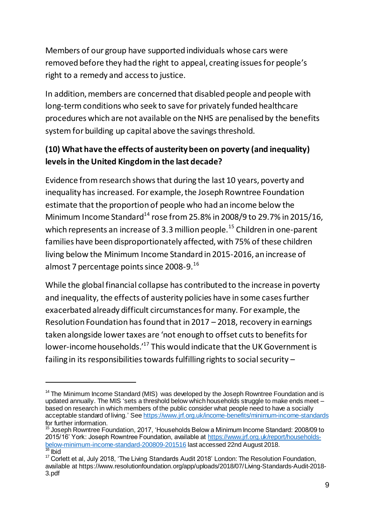Members of our group have supported individuals whose cars were removed before they had the right to appeal, creating issues for people's right to a remedy and access to justice.

In addition, members are concerned that disabled people and people with long-term conditions who seek to save for privately funded healthcare procedures which are not available on the NHS are penalised by the benefits system for building up capital above the savings threshold.

### **(10) What have the effects of austerity been on poverty (and inequality) levels in the United Kingdom in the last decade?**

Evidence from research shows that during the last 10 years, poverty and inequality has increased. For example, the Joseph Rowntree Foundation estimate that the proportion of people who had an income below the Minimum Income Standard<sup>14</sup> rose from 25.8% in 2008/9 to 29.7% in 2015/16, which represents an increase of 3.3 million people.<sup>15</sup> Children in one-parent families have been disproportionately affected, with 75% of these children living below the Minimum Income Standard in 2015-2016, an increase of almost 7 percentage points since 2008-9.<sup>16</sup>

While the global financial collapse has contributed to the increase in poverty and inequality, the effects of austerity policies have in some cases further exacerbated already difficult circumstances for many. For example, the Resolution Foundation has found that in 2017 – 2018, recovery in earnings taken alongside lower taxes are 'not enough to offset cuts to benefits for lower-income households.'<sup>17</sup> This would indicate that the UK Government is failing in its responsibilities towards fulfilling rights to social security –

 $\overline{a}$ 

 $14$  The Minimum Income Standard (MIS) was developed by the Joseph Rowntree Foundation and is updated annually. The MIS 'sets a threshold below which households struggle to make ends meet – based on research in which members of the public consider what people need to have a socially acceptable standard of living.' Se[e https://www.jrf.org.uk/income-benefits/minimum-income-standards](https://www.jrf.org.uk/income-benefits/minimum-income-standards) for further information.

<sup>&</sup>lt;sup>15</sup> Joseph Rowntree Foundation, 2017, 'Households Below a Minimum Income Standard: 2008/09 to 2015/16' York: Joseph Rowntree Foundation, available a[t https://www.jrf.org.uk/report/households](https://www.jrf.org.uk/report/households-below-minimum-income-standard-200809-201516)[below-minimum-income-standard-200809-201516](https://www.jrf.org.uk/report/households-below-minimum-income-standard-200809-201516) last accessed 22nd August 2018. **Ibid** 

<sup>&</sup>lt;sup>17</sup> Corlett et al, July 2018, 'The Living Standards Audit 2018' London: The Resolution Foundation, available at https://www.resolutionfoundation.org/app/uploads/2018/07/Living-Standards-Audit-2018- 3.pdf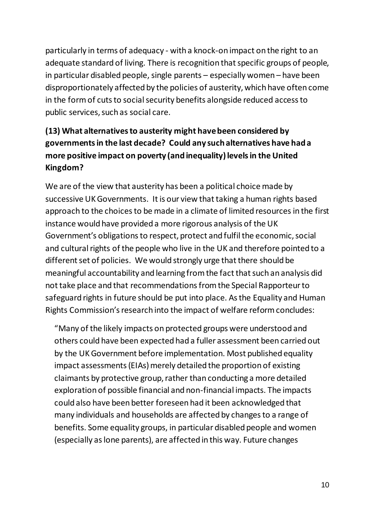particularly in terms of adequacy - with a knock-on impact on the right to an adequate standard of living. There is recognition that specific groups of people, in particular disabled people, single parents – especially women – have been disproportionately affected by the policies of austerity, which have often come in the form of cuts to social security benefits alongside reduced access to public services, such as social care.

# **(13) What alternatives to austerity might have been considered by governments in the last decade? Could any such alternatives have had a more positive impact on poverty (and inequality) levels in the United Kingdom?**

We are of the view that austerity has been a political choice made by successive UK Governments. It is our view that taking a human rights based approach to the choices to be made in a climate of limited resources in the first instance would have provided a more rigorous analysis of the UK Government's obligations to respect, protect and fulfil the economic, social and cultural rights of the people who live in the UK and therefore pointed to a different set of policies. We would strongly urge that there should be meaningful accountability and learning from the fact that such an analysis did not take place and that recommendations from the Special Rapporteur to safeguard rights in future should be put into place. As the Equality and Human Rights Commission's research into the impact of welfare reform concludes:

"Many of the likely impacts on protected groups were understood and others could have been expected had a fuller assessment been carried out by the UK Government before implementation. Most published equality impact assessments (EIAs) merely detailed the proportion of existing claimants by protective group, rather than conducting a more detailed exploration of possible financial and non-financial impacts. The impacts could also have been better foreseen had it been acknowledged that many individuals and households are affected by changes to a range of benefits. Some equality groups, in particular disabled people and women (especially as lone parents), are affected in this way. Future changes